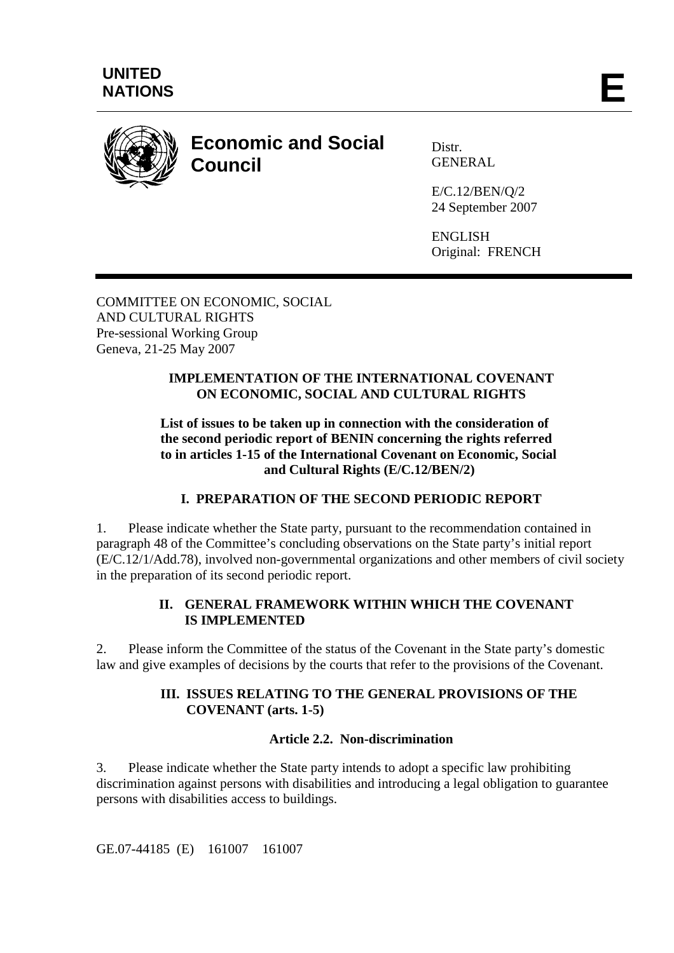

# **Economic and Social Council**

Distr. **GENERAL** 

E/C.12/BEN/Q/2 24 September 2007

ENGLISH Original: FRENCH

COMMITTEE ON ECONOMIC, SOCIAL AND CULTURAL RIGHTS Pre-sessional Working Group Geneva, 21-25 May 2007

## **IMPLEMENTATION OF THE INTERNATIONAL COVENANT ON ECONOMIC, SOCIAL AND CULTURAL RIGHTS**

#### **List of issues to be taken up in connection with the consideration of the second periodic report of BENIN concerning the rights referred to in articles 1-15 of the International Covenant on Economic, Social and Cultural Rights (E/C.12/BEN/2)**

# **I. PREPARATION OF THE SECOND PERIODIC REPORT**

1. Please indicate whether the State party, pursuant to the recommendation contained in paragraph 48 of the Committee's concluding observations on the State party's initial report (E/C.12/1/Add.78), involved non-governmental organizations and other members of civil society in the preparation of its second periodic report.

## **II. GENERAL FRAMEWORK WITHIN WHICH THE COVENANT IS IMPLEMENTED**

2. Please inform the Committee of the status of the Covenant in the State party's domestic law and give examples of decisions by the courts that refer to the provisions of the Covenant.

# **III. ISSUES RELATING TO THE GENERAL PROVISIONS OF THE COVENANT (arts. 1-5)**

# **Article 2.2. Non-discrimination**

3. Please indicate whether the State party intends to adopt a specific law prohibiting discrimination against persons with disabilities and introducing a legal obligation to guarantee persons with disabilities access to buildings.

GE.07-44185 (E) 161007 161007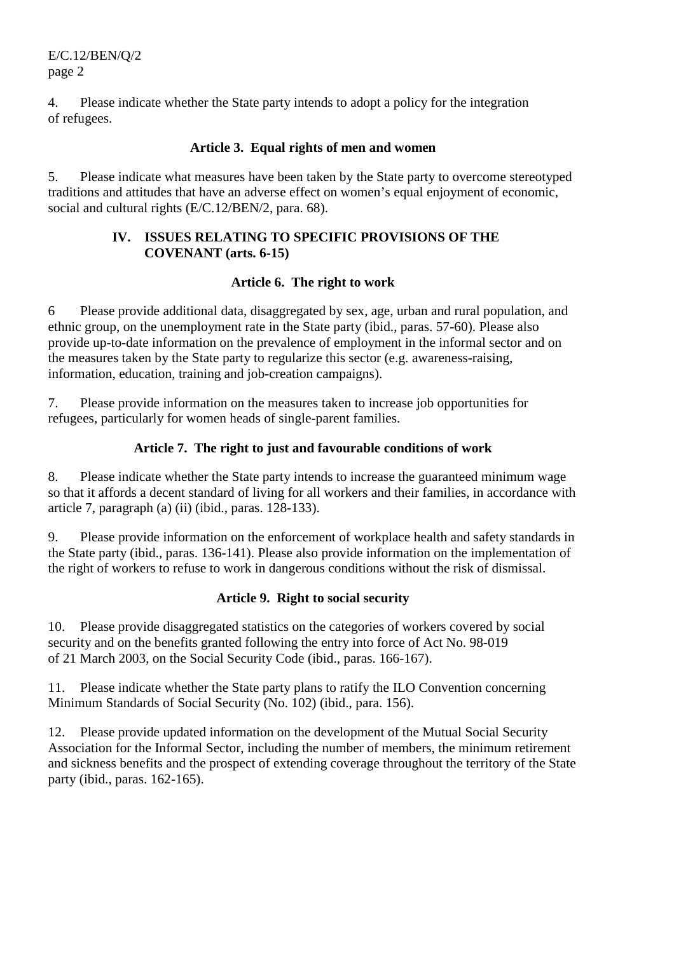E/C.12/BEN/Q/2 page 2

4. Please indicate whether the State party intends to adopt a policy for the integration of refugees.

#### **Article 3. Equal rights of men and women**

5. Please indicate what measures have been taken by the State party to overcome stereotyped traditions and attitudes that have an adverse effect on women's equal enjoyment of economic, social and cultural rights (E/C.12/BEN/2, para. 68).

### **IV. ISSUES RELATING TO SPECIFIC PROVISIONS OF THE COVENANT (arts. 6-15)**

#### **Article 6. The right to work**

6 Please provide additional data, disaggregated by sex, age, urban and rural population, and ethnic group, on the unemployment rate in the State party (ibid., paras. 57-60). Please also provide up-to-date information on the prevalence of employment in the informal sector and on the measures taken by the State party to regularize this sector (e.g. awareness-raising, information, education, training and job-creation campaigns).

7. Please provide information on the measures taken to increase job opportunities for refugees, particularly for women heads of single-parent families.

## **Article 7. The right to just and favourable conditions of work**

8. Please indicate whether the State party intends to increase the guaranteed minimum wage so that it affords a decent standard of living for all workers and their families, in accordance with article 7, paragraph (a) (ii) (ibid., paras. 128-133).

9. Please provide information on the enforcement of workplace health and safety standards in the State party (ibid., paras. 136-141). Please also provide information on the implementation of the right of workers to refuse to work in dangerous conditions without the risk of dismissal.

#### **Article 9. Right to social security**

10. Please provide disaggregated statistics on the categories of workers covered by social security and on the benefits granted following the entry into force of Act No. 98-019 of 21 March 2003, on the Social Security Code (ibid., paras. 166-167).

11. Please indicate whether the State party plans to ratify the ILO Convention concerning Minimum Standards of Social Security (No. 102) (ibid., para. 156).

12. Please provide updated information on the development of the Mutual Social Security Association for the Informal Sector, including the number of members, the minimum retirement and sickness benefits and the prospect of extending coverage throughout the territory of the State party (ibid., paras. 162-165).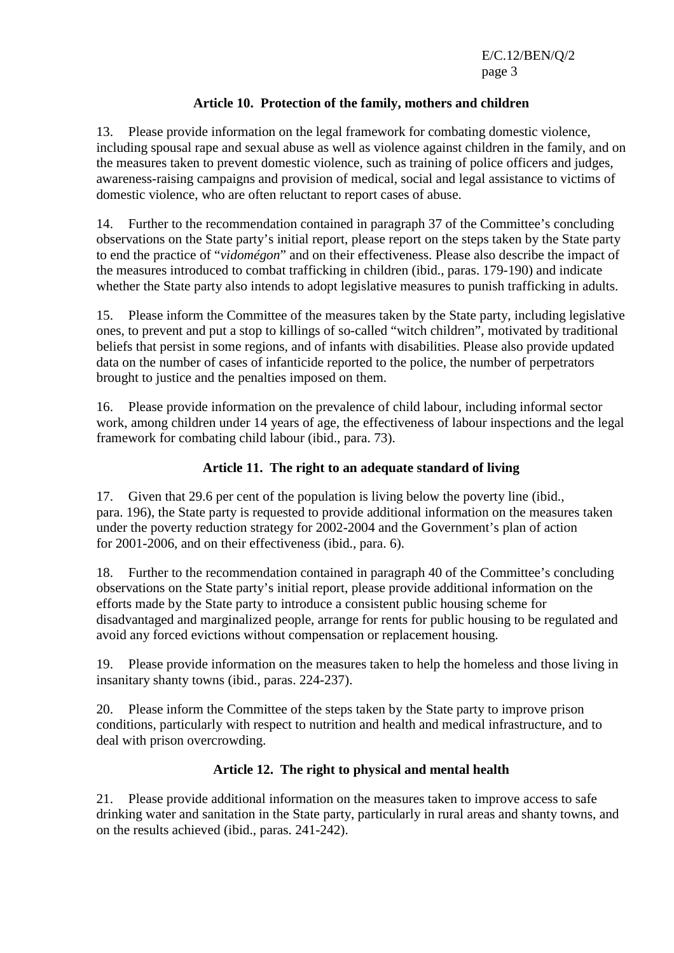E/C.12/BEN/Q/2 page 3

### **Article 10. Protection of the family, mothers and children**

13. Please provide information on the legal framework for combating domestic violence, including spousal rape and sexual abuse as well as violence against children in the family, and on the measures taken to prevent domestic violence, such as training of police officers and judges, awareness-raising campaigns and provision of medical, social and legal assistance to victims of domestic violence, who are often reluctant to report cases of abuse.

14. Further to the recommendation contained in paragraph 37 of the Committee's concluding observations on the State party's initial report, please report on the steps taken by the State party to end the practice of "*vidomégon*" and on their effectiveness. Please also describe the impact of the measures introduced to combat trafficking in children (ibid., paras. 179-190) and indicate whether the State party also intends to adopt legislative measures to punish trafficking in adults.

15. Please inform the Committee of the measures taken by the State party, including legislative ones, to prevent and put a stop to killings of so-called "witch children", motivated by traditional beliefs that persist in some regions, and of infants with disabilities. Please also provide updated data on the number of cases of infanticide reported to the police, the number of perpetrators brought to justice and the penalties imposed on them.

16. Please provide information on the prevalence of child labour, including informal sector work, among children under 14 years of age, the effectiveness of labour inspections and the legal framework for combating child labour (ibid., para. 73).

## **Article 11. The right to an adequate standard of living**

17. Given that 29.6 per cent of the population is living below the poverty line (ibid., para. 196), the State party is requested to provide additional information on the measures taken under the poverty reduction strategy for 2002-2004 and the Government's plan of action for 2001-2006, and on their effectiveness (ibid., para. 6).

18. Further to the recommendation contained in paragraph 40 of the Committee's concluding observations on the State party's initial report, please provide additional information on the efforts made by the State party to introduce a consistent public housing scheme for disadvantaged and marginalized people, arrange for rents for public housing to be regulated and avoid any forced evictions without compensation or replacement housing.

19. Please provide information on the measures taken to help the homeless and those living in insanitary shanty towns (ibid., paras. 224-237).

20. Please inform the Committee of the steps taken by the State party to improve prison conditions, particularly with respect to nutrition and health and medical infrastructure, and to deal with prison overcrowding.

# **Article 12. The right to physical and mental health**

21. Please provide additional information on the measures taken to improve access to safe drinking water and sanitation in the State party, particularly in rural areas and shanty towns, and on the results achieved (ibid., paras. 241-242).